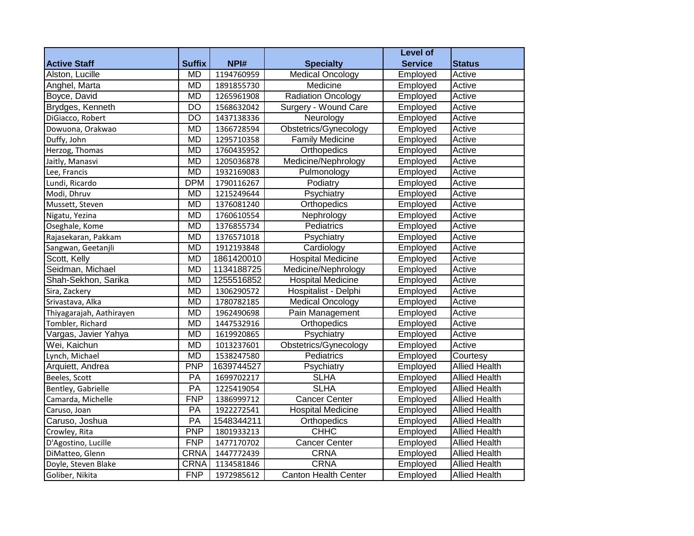|                          |                 |            |                             | <b>Level of</b> |                      |
|--------------------------|-----------------|------------|-----------------------------|-----------------|----------------------|
| <b>Active Staff</b>      | <b>Suffix</b>   | NPI#       | <b>Specialty</b>            | <b>Service</b>  | <b>Status</b>        |
| Alston, Lucille          | <b>MD</b>       | 1194760959 | <b>Medical Oncology</b>     | Employed        | Active               |
| Anghel, Marta            | <b>MD</b>       | 1891855730 | Medicine                    | Employed        | Active               |
| Boyce, David             | <b>MD</b>       | 1265961908 | <b>Radiation Oncology</b>   | Employed        | Active               |
| Brydges, Kenneth         | $\overline{DO}$ | 1568632042 | Surgery - Wound Care        | Employed        | Active               |
| DiGiacco, Robert         | $\overline{DO}$ | 1437138336 | Neurology                   | Employed        | Active               |
| Dowuona, Orakwao         | <b>MD</b>       | 1366728594 | Obstetrics/Gynecology       | Employed        | Active               |
| Duffy, John              | <b>MD</b>       | 1295710358 | <b>Family Medicine</b>      | Employed        | Active               |
| Herzog, Thomas           | <b>MD</b>       | 1760435952 | Orthopedics                 | Employed        | Active               |
| Jaitly, Manasvi          | <b>MD</b>       | 1205036878 | Medicine/Nephrology         | Employed        | Active               |
| Lee, Francis             | <b>MD</b>       | 1932169083 | Pulmonology                 | Employed        | Active               |
| Lundi, Ricardo           | <b>DPM</b>      | 1790116267 | Podiatry                    | Employed        | Active               |
| Modi, Dhruv              | <b>MD</b>       | 1215249644 | Psychiatry                  | Employed        | Active               |
| Mussett, Steven          | <b>MD</b>       | 1376081240 | Orthopedics                 | Employed        | Active               |
| Nigatu, Yezina           | <b>MD</b>       | 1760610554 | Nephrology                  | Employed        | Active               |
| Oseghale, Kome           | <b>MD</b>       | 1376855734 | Pediatrics                  | Employed        | Active               |
| Rajasekaran, Pakkam      | <b>MD</b>       | 1376571018 | Psychiatry                  | Employed        | Active               |
| Sangwan, Geetanjli       | <b>MD</b>       | 1912193848 | Cardiology                  | Employed        | Active               |
| Scott, Kelly             | <b>MD</b>       | 1861420010 | <b>Hospital Medicine</b>    | Employed        | Active               |
| Seidman, Michael         | <b>MD</b>       | 1134188725 | Medicine/Nephrology         | Employed        | Active               |
| Shah-Sekhon, Sarika      | <b>MD</b>       | 1255516852 | <b>Hospital Medicine</b>    | Employed        | Active               |
| Sira, Zackery            | <b>MD</b>       | 1306290572 | Hospitalist - Delphi        | Employed        | Active               |
| Srivastava, Alka         | <b>MD</b>       | 1780782185 | <b>Medical Oncology</b>     | Employed        | Active               |
| Thiyagarajah, Aathirayen | <b>MD</b>       | 1962490698 | Pain Management             | Employed        | Active               |
| Tombler, Richard         | <b>MD</b>       | 1447532916 | Orthopedics                 | Employed        | Active               |
| Vargas, Javier Yahya     | <b>MD</b>       | 1619920865 | Psychiatry                  | Employed        | Active               |
| Wei, Kaichun             | <b>MD</b>       | 1013237601 | Obstetrics/Gynecology       | Employed        | Active               |
| Lynch, Michael           | <b>MD</b>       | 1538247580 | Pediatrics                  | Employed        | Courtesy             |
| Arquiett, Andrea         | <b>PNP</b>      | 1639744527 | Psychiatry                  | Employed        | <b>Allied Health</b> |
| Beeles, Scott            | PA              | 1699702217 | <b>SLHA</b>                 | Employed        | <b>Allied Health</b> |
| Bentley, Gabrielle       | $\overline{PA}$ | 1225419054 | <b>SLHA</b>                 | Employed        | <b>Allied Health</b> |
| Camarda, Michelle        | FNP             | 1386999712 | <b>Cancer Center</b>        | Employed        | <b>Allied Health</b> |
| Caruso, Joan             | PA              | 1922272541 | <b>Hospital Medicine</b>    | Employed        | <b>Allied Health</b> |
| Caruso, Joshua           | $\overline{PA}$ | 1548344211 | Orthopedics                 | Employed        | <b>Allied Health</b> |
| Crowley, Rita            | <b>PNP</b>      | 1801933213 | <b>CHHC</b>                 | Employed        | <b>Allied Health</b> |
| D'Agostino, Lucille      | <b>FNP</b>      | 1477170702 | <b>Cancer Center</b>        | Employed        | <b>Allied Health</b> |
| DiMatteo, Glenn          | CRNA            | 1447772439 | <b>CRNA</b>                 | Employed        | <b>Allied Health</b> |
| Doyle, Steven Blake      | CRNA            | 1134581846 | <b>CRNA</b>                 | Employed        | <b>Allied Health</b> |
| Goliber, Nikita          | <b>FNP</b>      | 1972985612 | <b>Canton Health Center</b> | Employed        | <b>Allied Health</b> |